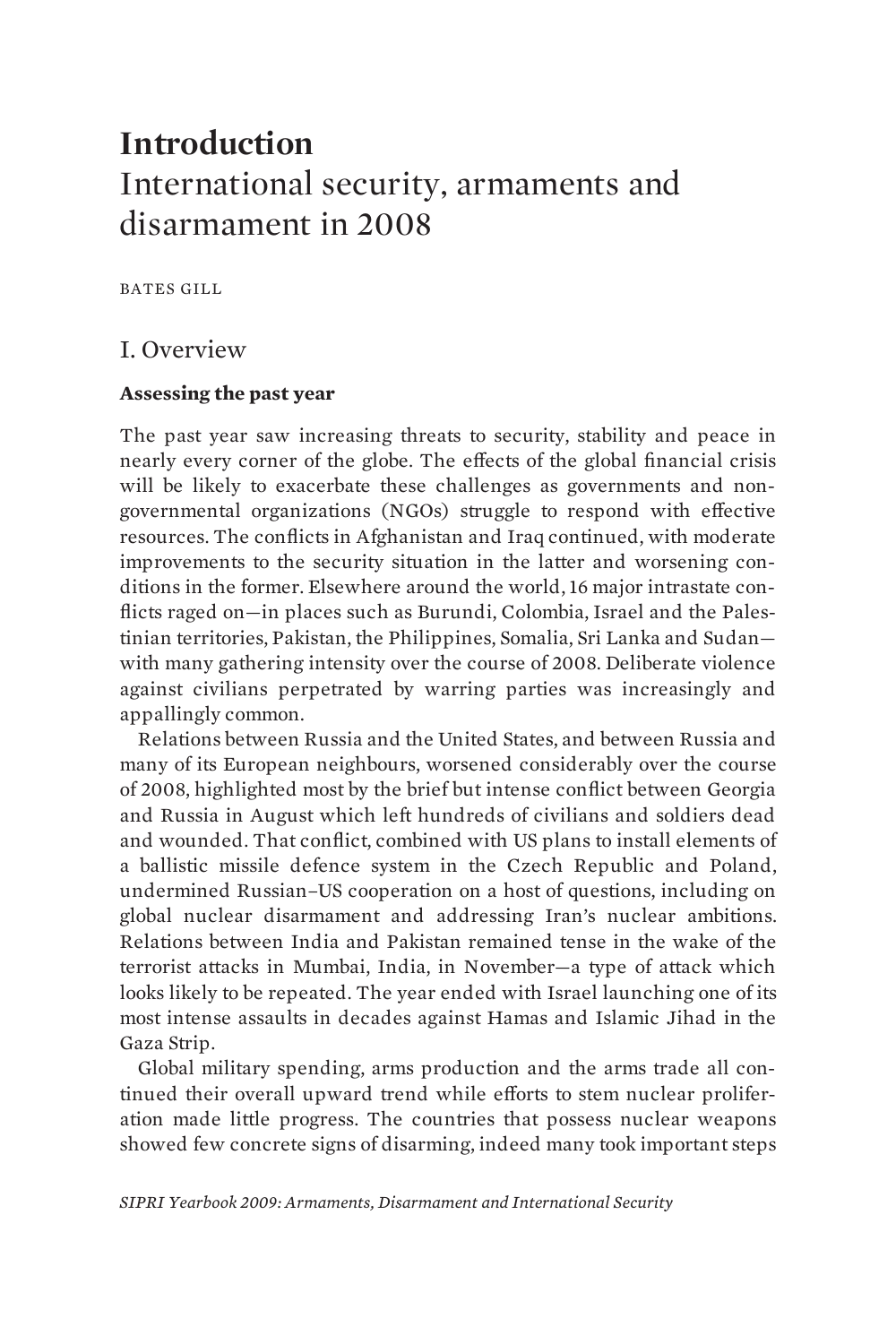# **Introduction** International security, armaments and disarmament in 2008

BATES GILL

### I. Overview

### **Assessing the past year**

The past year saw increasing threats to security, stability and peace in nearly every corner of the globe. The effects of the global financial crisis will be likely to exacerbate these challenges as governments and nongovernmental organizations (NGOs) struggle to respond with effective resources. The conflicts in Afghanistan and Iraq continued, with moderate improvements to the security situation in the latter and worsening conditions in the former. Elsewhere around the world, 16 major intrastate conflicts raged on—in places such as Burundi, Colombia, Israel and the Palestinian territories, Pakistan, the Philippines, Somalia, Sri Lanka and Sudan with many gathering intensity over the course of 2008. Deliberate violence against civilians perpetrated by warring parties was increasingly and appallingly common.

Relations between Russia and the United States, and between Russia and many of its European neighbours, worsened considerably over the course of 2008, highlighted most by the brief but intense conflict between Georgia and Russia in August which left hundreds of civilians and soldiers dead and wounded. That conflict, combined with US plans to install elements of a ballistic missile defence system in the Czech Republic and Poland, undermined Russian–US cooperation on a host of questions, including on global nuclear disarmament and addressing Iran's nuclear ambitions. Relations between India and Pakistan remained tense in the wake of the terrorist attacks in Mumbai, India, in November—a type of attack which looks likely to be repeated. The year ended with Israel launching one of its most intense assaults in decades against Hamas and Islamic Jihad in the Gaza Strip.

Global military spending, arms production and the arms trade all continued their overall upward trend while efforts to stem nuclear proliferation made little progress. The countries that possess nuclear weapons showed few concrete signs of disarming, indeed many took important steps

*SIPRI Yearbook 2009: Armaments, Disarmament and International Security*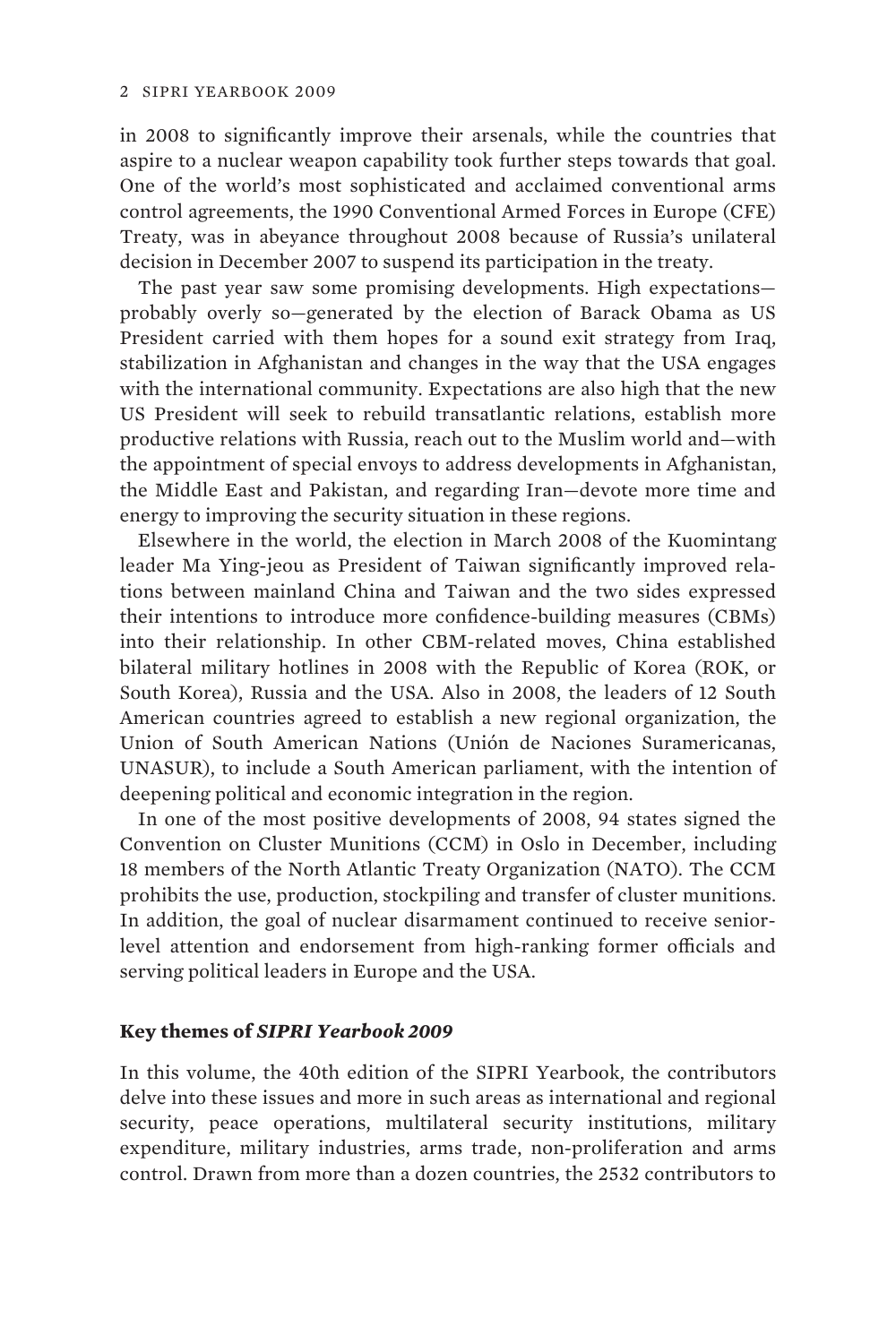in 2008 to significantly improve their arsenals, while the countries that aspire to a nuclear weapon capability took further steps towards that goal. One of the world's most sophisticated and acclaimed conventional arms control agreements, the 1990 Conventional Armed Forces in Europe (CFE) Treaty, was in abeyance throughout 2008 because of Russia's unilateral decision in December 2007 to suspend its participation in the treaty.

The past year saw some promising developments. High expectations probably overly so—generated by the election of Barack Obama as US President carried with them hopes for a sound exit strategy from Iraq, stabilization in Afghanistan and changes in the way that the USA engages with the international community. Expectations are also high that the new US President will seek to rebuild transatlantic relations, establish more productive relations with Russia, reach out to the Muslim world and—with the appointment of special envoys to address developments in Afghanistan, the Middle East and Pakistan, and regarding Iran—devote more time and energy to improving the security situation in these regions.

Elsewhere in the world, the election in March 2008 of the Kuomintang leader Ma Ying-jeou as President of Taiwan significantly improved relations between mainland China and Taiwan and the two sides expressed their intentions to introduce more confidence-building measures (CBMs) into their relationship. In other CBM-related moves, China established bilateral military hotlines in 2008 with the Republic of Korea (ROK, or South Korea), Russia and the USA. Also in 2008, the leaders of 12 South American countries agreed to establish a new regional organization, the Union of South American Nations (Unión de Naciones Suramericanas, UNASUR), to include a South American parliament, with the intention of deepening political and economic integration in the region.

In one of the most positive developments of 2008, 94 states signed the Convention on Cluster Munitions (CCM) in Oslo in December, including 18 members of the North Atlantic Treaty Organization (NATO). The CCM prohibits the use, production, stockpiling and transfer of cluster munitions. In addition, the goal of nuclear disarmament continued to receive seniorlevel attention and endorsement from high-ranking former officials and serving political leaders in Europe and the USA.

#### **Key themes of** *SIPRI Yearbook 2009*

In this volume, the 40th edition of the SIPRI Yearbook, the contributors delve into these issues and more in such areas as international and regional security, peace operations, multilateral security institutions, military expenditure, military industries, arms trade, non-proliferation and arms control. Drawn from more than a dozen countries, the 2532 contributors to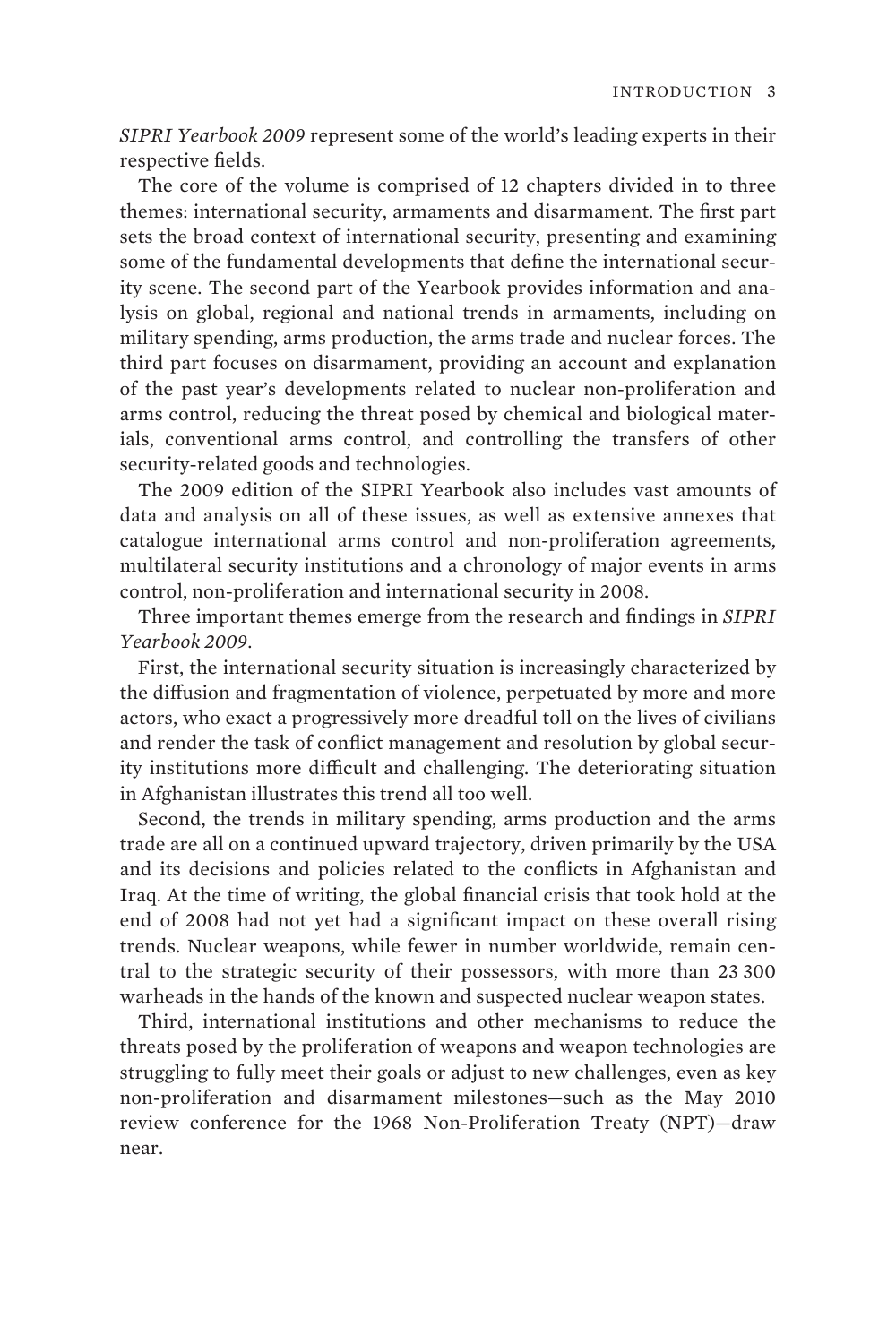*SIPRI Yearbook 2009* represent some of the world's leading experts in their respective fields.

The core of the volume is comprised of 12 chapters divided in to three themes: international security, armaments and disarmament. The first part sets the broad context of international security, presenting and examining some of the fundamental developments that define the international security scene. The second part of the Yearbook provides information and analysis on global, regional and national trends in armaments, including on military spending, arms production, the arms trade and nuclear forces. The third part focuses on disarmament, providing an account and explanation of the past year's developments related to nuclear non-proliferation and arms control, reducing the threat posed by chemical and biological materials, conventional arms control, and controlling the transfers of other security-related goods and technologies.

The 2009 edition of the SIPRI Yearbook also includes vast amounts of data and analysis on all of these issues, as well as extensive annexes that catalogue international arms control and non-proliferation agreements, multilateral security institutions and a chronology of major events in arms control, non-proliferation and international security in 2008.

Three important themes emerge from the research and findings in *SIPRI Yearbook 2009*.

First, the international security situation is increasingly characterized by the diffusion and fragmentation of violence, perpetuated by more and more actors, who exact a progressively more dreadful toll on the lives of civilians and render the task of conflict management and resolution by global security institutions more difficult and challenging. The deteriorating situation in Afghanistan illustrates this trend all too well.

Second, the trends in military spending, arms production and the arms trade are all on a continued upward trajectory, driven primarily by the USA and its decisions and policies related to the conflicts in Afghanistan and Iraq. At the time of writing, the global financial crisis that took hold at the end of 2008 had not yet had a significant impact on these overall rising trends. Nuclear weapons, while fewer in number worldwide, remain central to the strategic security of their possessors, with more than 23 300 warheads in the hands of the known and suspected nuclear weapon states.

Third, international institutions and other mechanisms to reduce the threats posed by the proliferation of weapons and weapon technologies are struggling to fully meet their goals or adjust to new challenges, even as key non-proliferation and disarmament milestones—such as the May 2010 review conference for the 1968 Non-Proliferation Treaty (NPT)—draw near.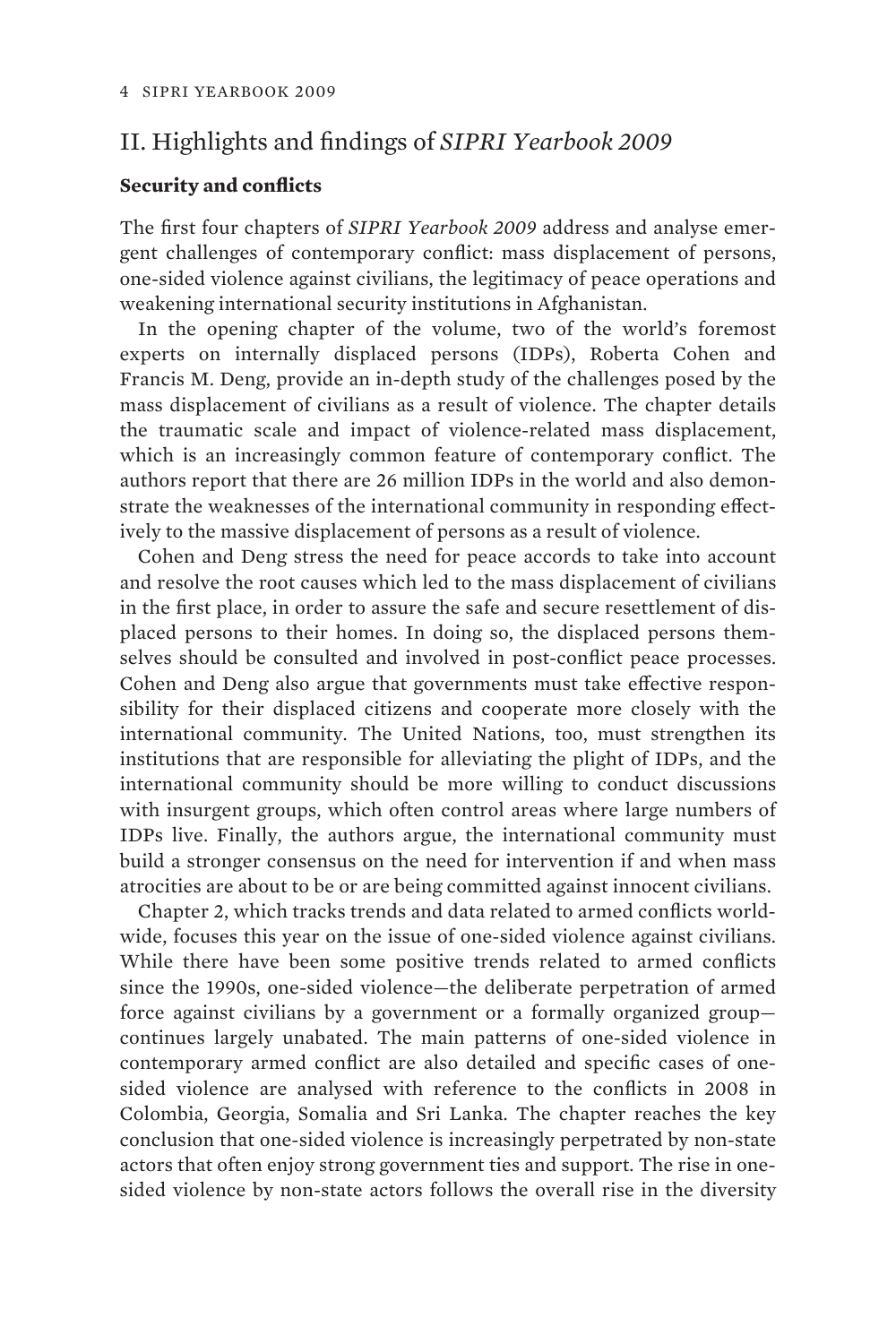## II. Highlights and findings of *SIPRI Yearbook 2009*

#### **Security and conflicts**

The first four chapters of *SIPRI Yearbook 2009* address and analyse emergent challenges of contemporary conflict: mass displacement of persons, one-sided violence against civilians, the legitimacy of peace operations and weakening international security institutions in Afghanistan.

In the opening chapter of the volume, two of the world's foremost experts on internally displaced persons (IDPs), Roberta Cohen and Francis M. Deng, provide an in-depth study of the challenges posed by the mass displacement of civilians as a result of violence. The chapter details the traumatic scale and impact of violence-related mass displacement, which is an increasingly common feature of contemporary conflict. The authors report that there are 26 million IDPs in the world and also demonstrate the weaknesses of the international community in responding effectively to the massive displacement of persons as a result of violence.

Cohen and Deng stress the need for peace accords to take into account and resolve the root causes which led to the mass displacement of civilians in the first place, in order to assure the safe and secure resettlement of displaced persons to their homes. In doing so, the displaced persons themselves should be consulted and involved in post-conflict peace processes. Cohen and Deng also argue that governments must take effective responsibility for their displaced citizens and cooperate more closely with the international community. The United Nations, too, must strengthen its institutions that are responsible for alleviating the plight of IDPs, and the international community should be more willing to conduct discussions with insurgent groups, which often control areas where large numbers of IDPs live. Finally, the authors argue, the international community must build a stronger consensus on the need for intervention if and when mass atrocities are about to be or are being committed against innocent civilians.

Chapter 2, which tracks trends and data related to armed conflicts worldwide, focuses this year on the issue of one-sided violence against civilians. While there have been some positive trends related to armed conflicts since the 1990s, one-sided violence—the deliberate perpetration of armed force against civilians by a government or a formally organized group continues largely unabated. The main patterns of one-sided violence in contemporary armed conflict are also detailed and specific cases of onesided violence are analysed with reference to the conflicts in 2008 in Colombia, Georgia, Somalia and Sri Lanka. The chapter reaches the key conclusion that one-sided violence is increasingly perpetrated by non-state actors that often enjoy strong government ties and support. The rise in onesided violence by non-state actors follows the overall rise in the diversity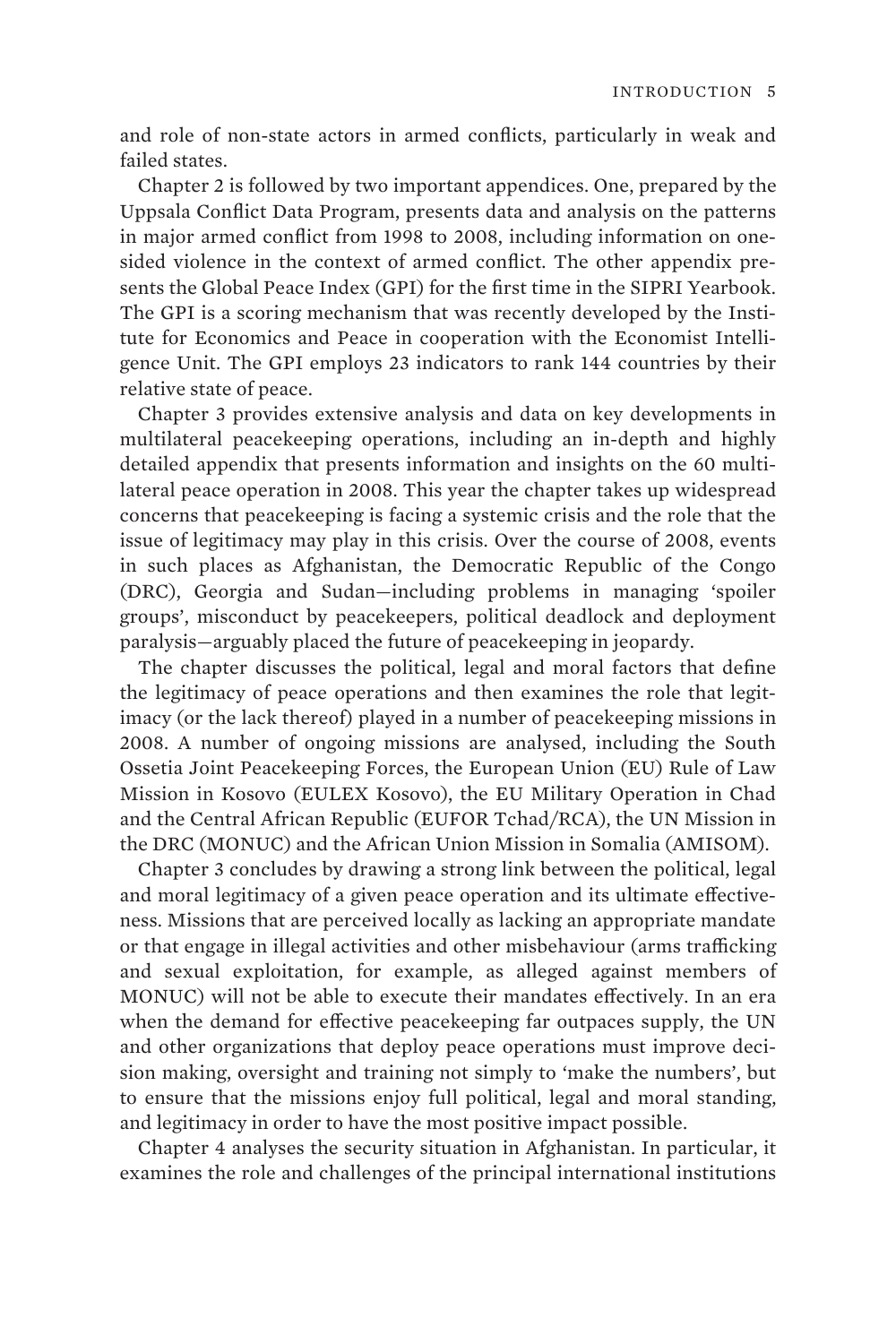and role of non-state actors in armed conflicts, particularly in weak and failed states.

Chapter 2 is followed by two important appendices. One, prepared by the Uppsala Conflict Data Program, presents data and analysis on the patterns in major armed conflict from 1998 to 2008, including information on onesided violence in the context of armed conflict. The other appendix presents the Global Peace Index (GPI) for the first time in the SIPRI Yearbook. The GPI is a scoring mechanism that was recently developed by the Institute for Economics and Peace in cooperation with the Economist Intelligence Unit. The GPI employs 23 indicators to rank 144 countries by their relative state of peace.

Chapter 3 provides extensive analysis and data on key developments in multilateral peacekeeping operations, including an in-depth and highly detailed appendix that presents information and insights on the 60 multilateral peace operation in 2008. This year the chapter takes up widespread concerns that peacekeeping is facing a systemic crisis and the role that the issue of legitimacy may play in this crisis. Over the course of 2008, events in such places as Afghanistan, the Democratic Republic of the Congo (DRC), Georgia and Sudan—including problems in managing 'spoiler groups', misconduct by peacekeepers, political deadlock and deployment paralysis—arguably placed the future of peacekeeping in jeopardy.

The chapter discusses the political, legal and moral factors that define the legitimacy of peace operations and then examines the role that legitimacy (or the lack thereof) played in a number of peacekeeping missions in 2008. A number of ongoing missions are analysed, including the South Ossetia Joint Peacekeeping Forces, the European Union (EU) Rule of Law Mission in Kosovo (EULEX Kosovo), the EU Military Operation in Chad and the Central African Republic (EUFOR Tchad/RCA), the UN Mission in the DRC (MONUC) and the African Union Mission in Somalia (AMISOM).

Chapter 3 concludes by drawing a strong link between the political, legal and moral legitimacy of a given peace operation and its ultimate effectiveness. Missions that are perceived locally as lacking an appropriate mandate or that engage in illegal activities and other misbehaviour (arms trafficking and sexual exploitation, for example, as alleged against members of MONUC) will not be able to execute their mandates effectively. In an era when the demand for effective peacekeeping far outpaces supply, the UN and other organizations that deploy peace operations must improve decision making, oversight and training not simply to 'make the numbers', but to ensure that the missions enjoy full political, legal and moral standing, and legitimacy in order to have the most positive impact possible.

Chapter 4 analyses the security situation in Afghanistan. In particular, it examines the role and challenges of the principal international institutions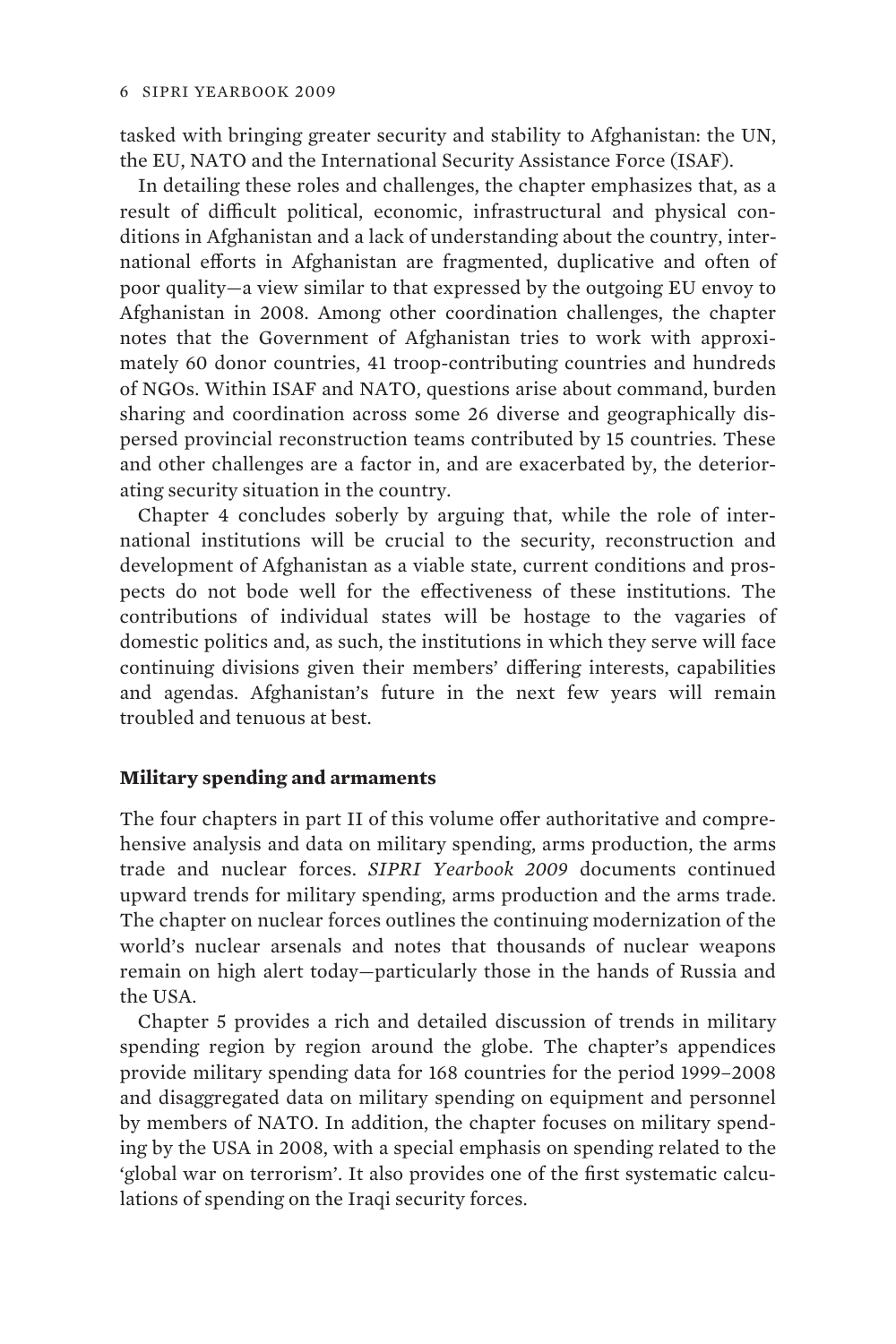tasked with bringing greater security and stability to Afghanistan: the UN, the EU, NATO and the International Security Assistance Force (ISAF).

In detailing these roles and challenges, the chapter emphasizes that, as a result of difficult political, economic, infrastructural and physical conditions in Afghanistan and a lack of understanding about the country, international efforts in Afghanistan are fragmented, duplicative and often of poor quality—a view similar to that expressed by the outgoing EU envoy to Afghanistan in 2008. Among other coordination challenges, the chapter notes that the Government of Afghanistan tries to work with approximately 60 donor countries, 41 troop-contributing countries and hundreds of NGOs. Within ISAF and NATO, questions arise about command, burden sharing and coordination across some 26 diverse and geographically dispersed provincial reconstruction teams contributed by 15 countries. These and other challenges are a factor in, and are exacerbated by, the deteriorating security situation in the country.

Chapter 4 concludes soberly by arguing that, while the role of international institutions will be crucial to the security, reconstruction and development of Afghanistan as a viable state, current conditions and prospects do not bode well for the effectiveness of these institutions. The contributions of individual states will be hostage to the vagaries of domestic politics and, as such, the institutions in which they serve will face continuing divisions given their members' differing interests, capabilities and agendas. Afghanistan's future in the next few years will remain troubled and tenuous at best.

### **Military spending and armaments**

The four chapters in part II of this volume offer authoritative and comprehensive analysis and data on military spending, arms production, the arms trade and nuclear forces. *SIPRI Yearbook 2009* documents continued upward trends for military spending, arms production and the arms trade. The chapter on nuclear forces outlines the continuing modernization of the world's nuclear arsenals and notes that thousands of nuclear weapons remain on high alert today—particularly those in the hands of Russia and the USA.

Chapter 5 provides a rich and detailed discussion of trends in military spending region by region around the globe. The chapter's appendices provide military spending data for 168 countries for the period 1999–2008 and disaggregated data on military spending on equipment and personnel by members of NATO. In addition, the chapter focuses on military spending by the USA in 2008, with a special emphasis on spending related to the 'global war on terrorism'. It also provides one of the first systematic calculations of spending on the Iraqi security forces.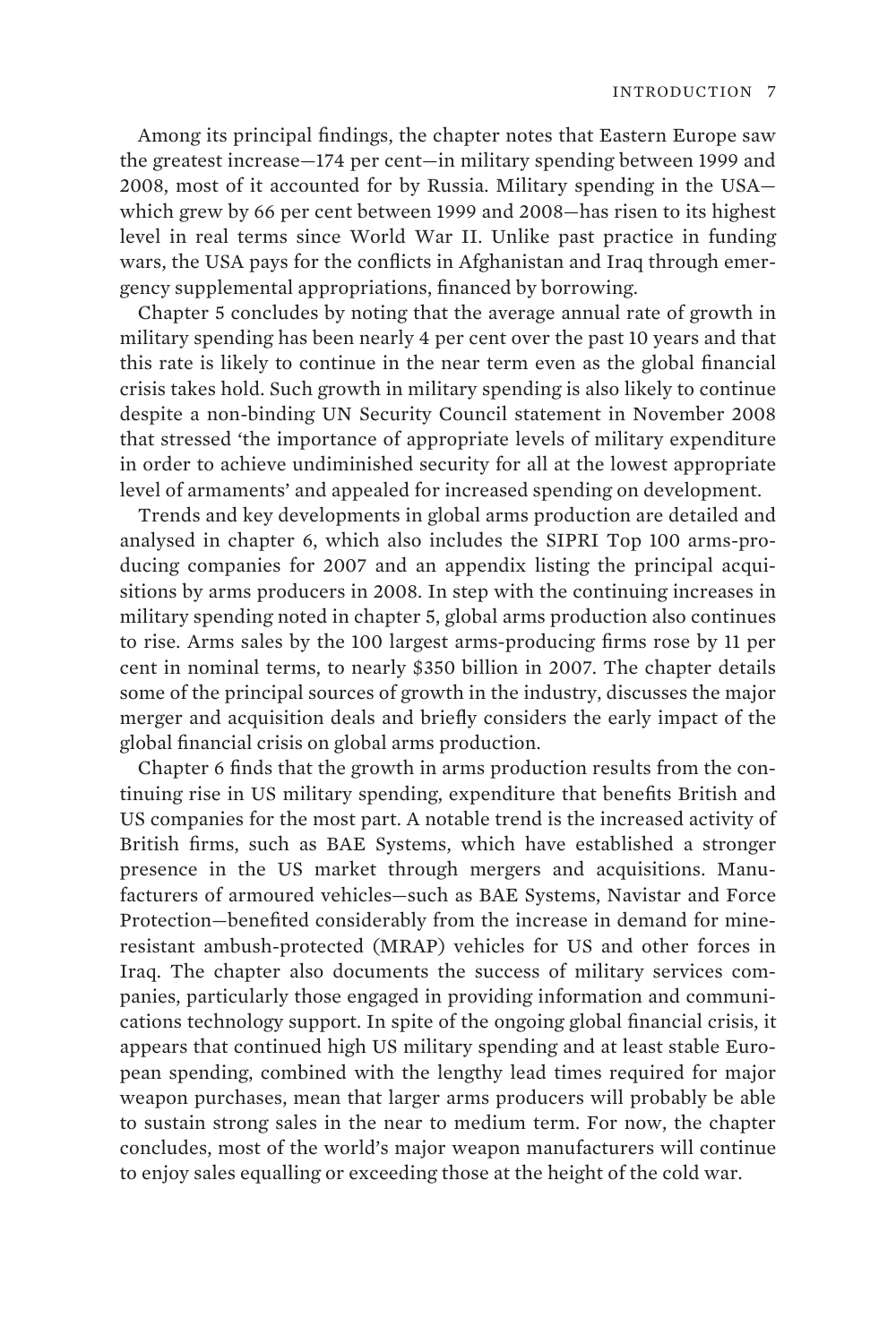Among its principal findings, the chapter notes that Eastern Europe saw the greatest increase—174 per cent—in military spending between 1999 and 2008, most of it accounted for by Russia. Military spending in the USA which grew by 66 per cent between 1999 and 2008—has risen to its highest level in real terms since World War II. Unlike past practice in funding wars, the USA pays for the conflicts in Afghanistan and Iraq through emergency supplemental appropriations, financed by borrowing.

Chapter 5 concludes by noting that the average annual rate of growth in military spending has been nearly 4 per cent over the past 10 years and that this rate is likely to continue in the near term even as the global financial crisis takes hold. Such growth in military spending is also likely to continue despite a non-binding UN Security Council statement in November 2008 that stressed 'the importance of appropriate levels of military expenditure in order to achieve undiminished security for all at the lowest appropriate level of armaments' and appealed for increased spending on development.

Trends and key developments in global arms production are detailed and analysed in chapter 6, which also includes the SIPRI Top 100 arms-producing companies for 2007 and an appendix listing the principal acquisitions by arms producers in 2008. In step with the continuing increases in military spending noted in chapter 5, global arms production also continues to rise. Arms sales by the 100 largest arms-producing firms rose by 11 per cent in nominal terms, to nearly \$350 billion in 2007. The chapter details some of the principal sources of growth in the industry, discusses the major merger and acquisition deals and briefly considers the early impact of the global financial crisis on global arms production.

Chapter 6 finds that the growth in arms production results from the continuing rise in US military spending, expenditure that benefits British and US companies for the most part. A notable trend is the increased activity of British firms, such as BAE Systems, which have established a stronger presence in the US market through mergers and acquisitions. Manufacturers of armoured vehicles—such as BAE Systems, Navistar and Force Protection—benefited considerably from the increase in demand for mineresistant ambush-protected (MRAP) vehicles for US and other forces in Iraq. The chapter also documents the success of military services companies, particularly those engaged in providing information and communications technology support. In spite of the ongoing global financial crisis, it appears that continued high US military spending and at least stable European spending, combined with the lengthy lead times required for major weapon purchases, mean that larger arms producers will probably be able to sustain strong sales in the near to medium term. For now, the chapter concludes, most of the world's major weapon manufacturers will continue to enjoy sales equalling or exceeding those at the height of the cold war.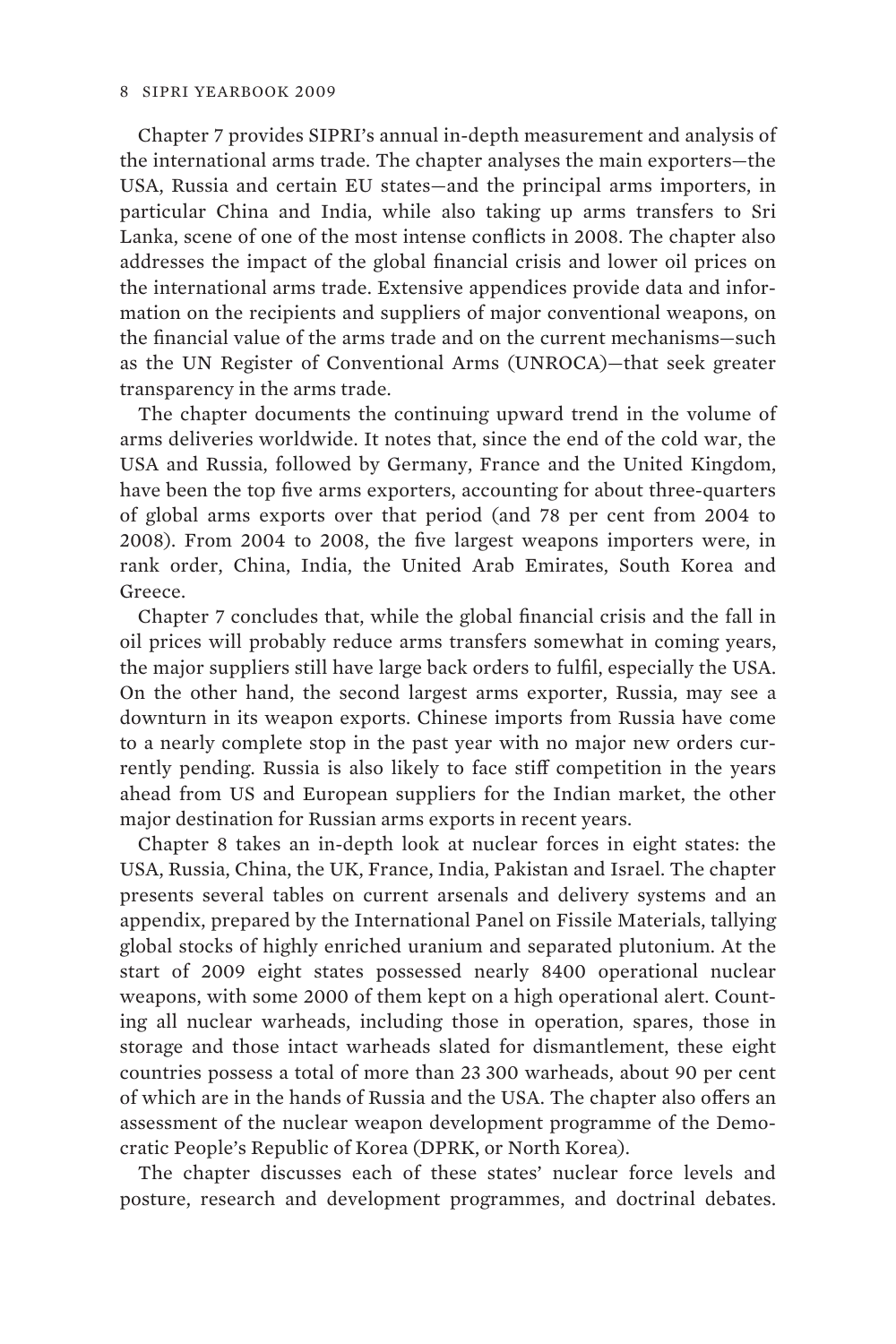Chapter 7 provides SIPRI's annual in-depth measurement and analysis of the international arms trade. The chapter analyses the main exporters—the USA, Russia and certain EU states—and the principal arms importers, in particular China and India, while also taking up arms transfers to Sri Lanka, scene of one of the most intense conflicts in 2008. The chapter also addresses the impact of the global financial crisis and lower oil prices on the international arms trade. Extensive appendices provide data and information on the recipients and suppliers of major conventional weapons, on the financial value of the arms trade and on the current mechanisms—such as the UN Register of Conventional Arms (UNROCA)—that seek greater transparency in the arms trade.

The chapter documents the continuing upward trend in the volume of arms deliveries worldwide. It notes that, since the end of the cold war, the USA and Russia, followed by Germany, France and the United Kingdom, have been the top five arms exporters, accounting for about three-quarters of global arms exports over that period (and 78 per cent from 2004 to 2008). From 2004 to 2008, the five largest weapons importers were, in rank order, China, India, the United Arab Emirates, South Korea and Greece.

Chapter 7 concludes that, while the global financial crisis and the fall in oil prices will probably reduce arms transfers somewhat in coming years, the major suppliers still have large back orders to fulfil, especially the USA. On the other hand, the second largest arms exporter, Russia, may see a downturn in its weapon exports. Chinese imports from Russia have come to a nearly complete stop in the past year with no major new orders currently pending. Russia is also likely to face stiff competition in the years ahead from US and European suppliers for the Indian market, the other major destination for Russian arms exports in recent years.

Chapter 8 takes an in-depth look at nuclear forces in eight states: the USA, Russia, China, the UK, France, India, Pakistan and Israel. The chapter presents several tables on current arsenals and delivery systems and an appendix, prepared by the International Panel on Fissile Materials, tallying global stocks of highly enriched uranium and separated plutonium. At the start of 2009 eight states possessed nearly 8400 operational nuclear weapons, with some 2000 of them kept on a high operational alert. Counting all nuclear warheads, including those in operation, spares, those in storage and those intact warheads slated for dismantlement, these eight countries possess a total of more than 23 300 warheads, about 90 per cent of which are in the hands of Russia and the USA. The chapter also offers an assessment of the nuclear weapon development programme of the Democratic People's Republic of Korea (DPRK, or North Korea).

The chapter discusses each of these states' nuclear force levels and posture, research and development programmes, and doctrinal debates.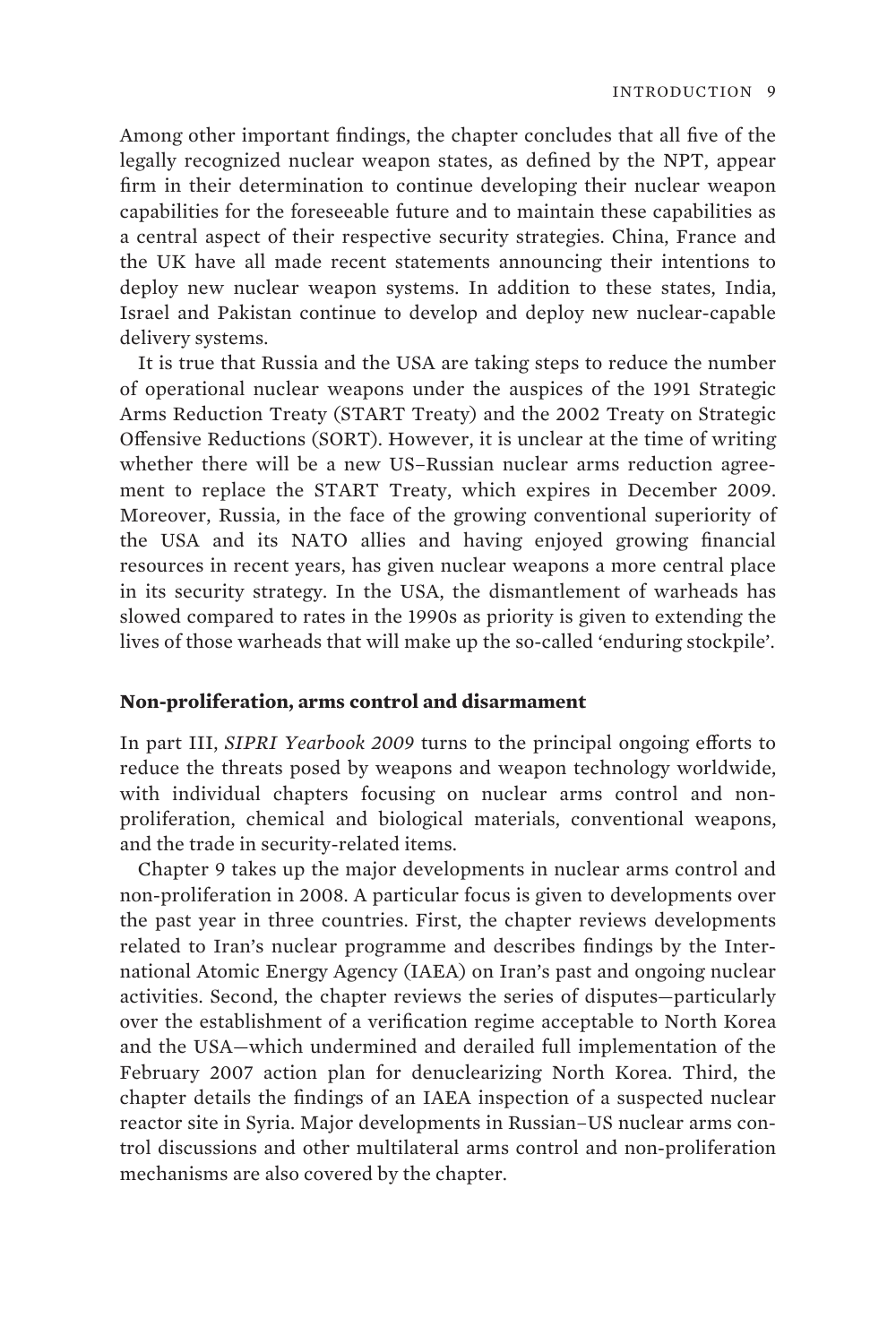Among other important findings, the chapter concludes that all five of the legally recognized nuclear weapon states, as defined by the NPT, appear firm in their determination to continue developing their nuclear weapon capabilities for the foreseeable future and to maintain these capabilities as a central aspect of their respective security strategies. China, France and the UK have all made recent statements announcing their intentions to deploy new nuclear weapon systems. In addition to these states, India, Israel and Pakistan continue to develop and deploy new nuclear-capable delivery systems.

It is true that Russia and the USA are taking steps to reduce the number of operational nuclear weapons under the auspices of the 1991 Strategic Arms Reduction Treaty (START Treaty) and the 2002 Treaty on Strategic Offensive Reductions (SORT). However, it is unclear at the time of writing whether there will be a new US–Russian nuclear arms reduction agreement to replace the START Treaty, which expires in December 2009. Moreover, Russia, in the face of the growing conventional superiority of the USA and its NATO allies and having enjoyed growing financial resources in recent years, has given nuclear weapons a more central place in its security strategy. In the USA, the dismantlement of warheads has slowed compared to rates in the 1990s as priority is given to extending the lives of those warheads that will make up the so-called 'enduring stockpile'.

#### **Non-proliferation, arms control and disarmament**

In part III, *SIPRI Yearbook 2009* turns to the principal ongoing efforts to reduce the threats posed by weapons and weapon technology worldwide, with individual chapters focusing on nuclear arms control and nonproliferation, chemical and biological materials, conventional weapons, and the trade in security-related items.

Chapter 9 takes up the major developments in nuclear arms control and non-proliferation in 2008. A particular focus is given to developments over the past year in three countries. First, the chapter reviews developments related to Iran's nuclear programme and describes findings by the International Atomic Energy Agency (IAEA) on Iran's past and ongoing nuclear activities. Second, the chapter reviews the series of disputes—particularly over the establishment of a verification regime acceptable to North Korea and the USA—which undermined and derailed full implementation of the February 2007 action plan for denuclearizing North Korea. Third, the chapter details the findings of an IAEA inspection of a suspected nuclear reactor site in Syria. Major developments in Russian–US nuclear arms control discussions and other multilateral arms control and non-proliferation mechanisms are also covered by the chapter.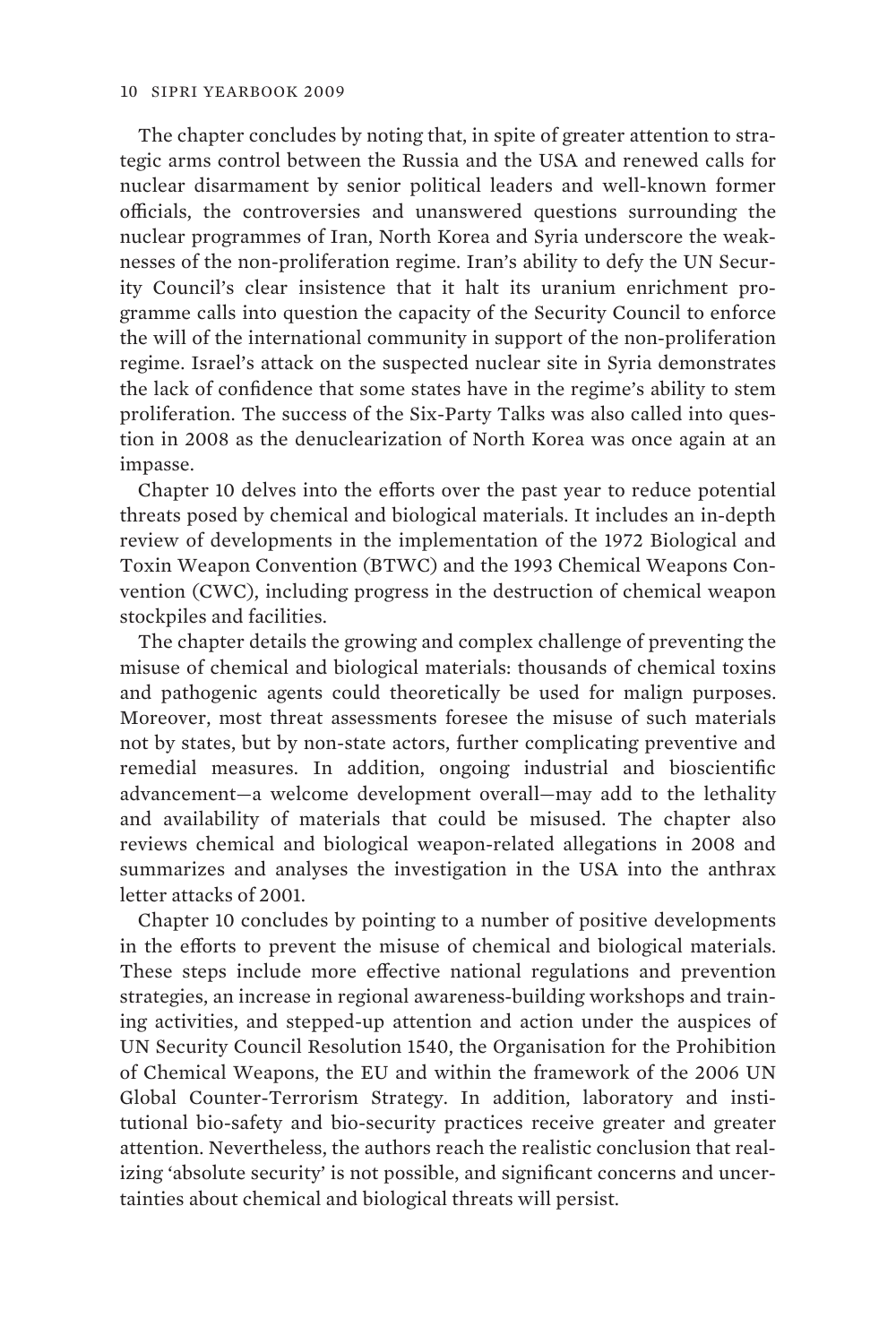The chapter concludes by noting that, in spite of greater attention to strategic arms control between the Russia and the USA and renewed calls for nuclear disarmament by senior political leaders and well-known former officials, the controversies and unanswered questions surrounding the nuclear programmes of Iran, North Korea and Syria underscore the weaknesses of the non-proliferation regime. Iran's ability to defy the UN Security Council's clear insistence that it halt its uranium enrichment programme calls into question the capacity of the Security Council to enforce the will of the international community in support of the non-proliferation regime. Israel's attack on the suspected nuclear site in Syria demonstrates the lack of confidence that some states have in the regime's ability to stem proliferation. The success of the Six-Party Talks was also called into question in 2008 as the denuclearization of North Korea was once again at an impasse.

Chapter 10 delves into the efforts over the past year to reduce potential threats posed by chemical and biological materials. It includes an in-depth review of developments in the implementation of the 1972 Biological and Toxin Weapon Convention (BTWC) and the 1993 Chemical Weapons Convention (CWC), including progress in the destruction of chemical weapon stockpiles and facilities.

The chapter details the growing and complex challenge of preventing the misuse of chemical and biological materials: thousands of chemical toxins and pathogenic agents could theoretically be used for malign purposes. Moreover, most threat assessments foresee the misuse of such materials not by states, but by non-state actors, further complicating preventive and remedial measures. In addition, ongoing industrial and bioscientific advancement—a welcome development overall—may add to the lethality and availability of materials that could be misused. The chapter also reviews chemical and biological weapon-related allegations in 2008 and summarizes and analyses the investigation in the USA into the anthrax letter attacks of 2001.

Chapter 10 concludes by pointing to a number of positive developments in the efforts to prevent the misuse of chemical and biological materials. These steps include more effective national regulations and prevention strategies, an increase in regional awareness-building workshops and training activities, and stepped-up attention and action under the auspices of UN Security Council Resolution 1540, the Organisation for the Prohibition of Chemical Weapons, the EU and within the framework of the 2006 UN Global Counter-Terrorism Strategy. In addition, laboratory and institutional bio-safety and bio-security practices receive greater and greater attention. Nevertheless, the authors reach the realistic conclusion that realizing 'absolute security' is not possible, and significant concerns and uncertainties about chemical and biological threats will persist.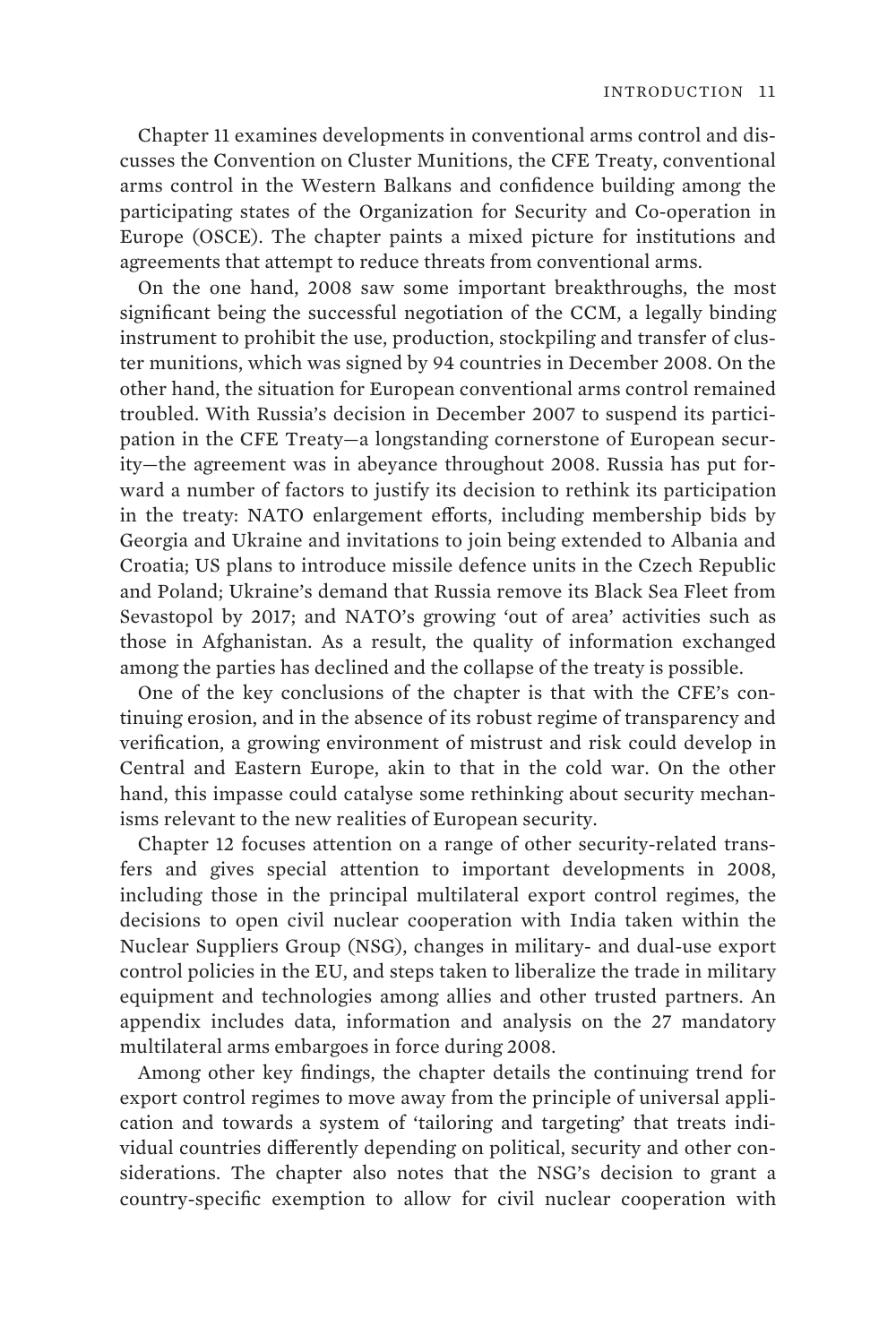Chapter 11 examines developments in conventional arms control and discusses the Convention on Cluster Munitions, the CFE Treaty, conventional arms control in the Western Balkans and confidence building among the participating states of the Organization for Security and Co-operation in Europe (OSCE). The chapter paints a mixed picture for institutions and agreements that attempt to reduce threats from conventional arms.

On the one hand, 2008 saw some important breakthroughs, the most significant being the successful negotiation of the CCM, a legally binding instrument to prohibit the use, production, stockpiling and transfer of cluster munitions, which was signed by 94 countries in December 2008. On the other hand, the situation for European conventional arms control remained troubled. With Russia's decision in December 2007 to suspend its participation in the CFE Treaty—a longstanding cornerstone of European security—the agreement was in abeyance throughout 2008. Russia has put forward a number of factors to justify its decision to rethink its participation in the treaty: NATO enlargement efforts, including membership bids by Georgia and Ukraine and invitations to join being extended to Albania and Croatia; US plans to introduce missile defence units in the Czech Republic and Poland; Ukraine's demand that Russia remove its Black Sea Fleet from Sevastopol by 2017; and NATO's growing 'out of area' activities such as those in Afghanistan. As a result, the quality of information exchanged among the parties has declined and the collapse of the treaty is possible.

One of the key conclusions of the chapter is that with the CFE's continuing erosion, and in the absence of its robust regime of transparency and verification, a growing environment of mistrust and risk could develop in Central and Eastern Europe, akin to that in the cold war. On the other hand, this impasse could catalyse some rethinking about security mechanisms relevant to the new realities of European security.

Chapter 12 focuses attention on a range of other security-related transfers and gives special attention to important developments in 2008, including those in the principal multilateral export control regimes, the decisions to open civil nuclear cooperation with India taken within the Nuclear Suppliers Group (NSG), changes in military- and dual-use export control policies in the EU, and steps taken to liberalize the trade in military equipment and technologies among allies and other trusted partners. An appendix includes data, information and analysis on the 27 mandatory multilateral arms embargoes in force during 2008.

Among other key findings, the chapter details the continuing trend for export control regimes to move away from the principle of universal application and towards a system of 'tailoring and targeting' that treats individual countries differently depending on political, security and other considerations. The chapter also notes that the NSG's decision to grant a country-specific exemption to allow for civil nuclear cooperation with